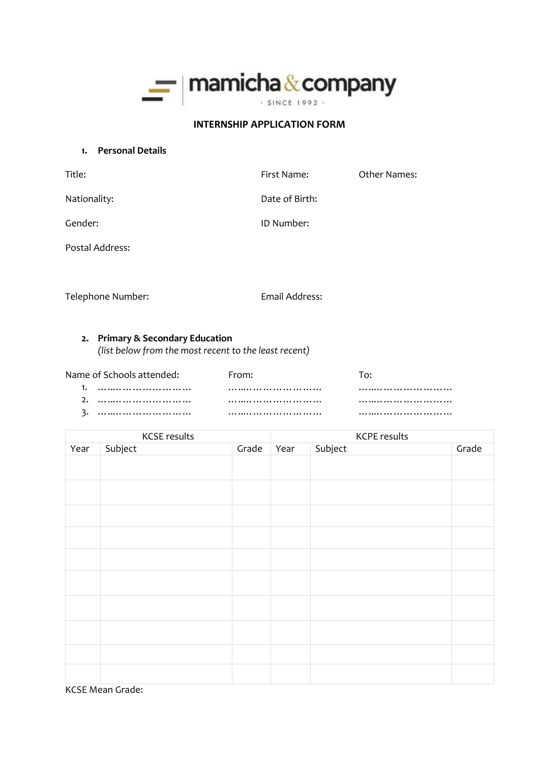

### **INTERNSHIP APPLICATION FORM**

**1. Personal Details**

| Title:          | First Name:    | <b>Other Names:</b> |
|-----------------|----------------|---------------------|
| Nationality:    | Date of Birth: |                     |
| Gender:         | ID Number:     |                     |
| Postal Address: |                |                     |

Telephone Number: Email Address:

# **2. Primary & Secondary Education**

*(list below from the most recent to the least recent)*

| Name of Schools attended: | From: |  |
|---------------------------|-------|--|
|                           |       |  |
|                           |       |  |
|                           |       |  |

|      | <b>KCSE</b> results | <b>KCPE results</b> |      |         |       |
|------|---------------------|---------------------|------|---------|-------|
| Year | Subject             | Grade               | Year | Subject | Grade |
|      |                     |                     |      |         |       |
|      |                     |                     |      |         |       |
|      |                     |                     |      |         |       |
|      |                     |                     |      |         |       |
|      |                     |                     |      |         |       |
|      |                     |                     |      |         |       |
|      |                     |                     |      |         |       |
|      |                     |                     |      |         |       |
|      |                     |                     |      |         |       |
|      |                     |                     |      |         |       |
|      |                     |                     |      |         |       |
|      |                     |                     |      |         |       |
|      |                     |                     |      |         |       |
|      |                     |                     |      |         |       |
|      |                     |                     |      |         |       |
|      |                     |                     |      |         |       |
|      |                     |                     |      |         |       |
|      |                     |                     |      |         |       |
|      |                     |                     |      |         |       |

KCSE Mean Grade: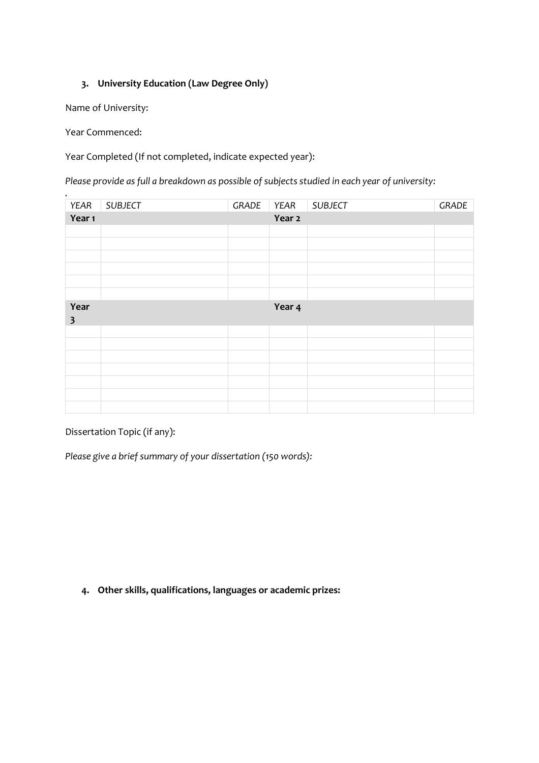# **3. University Education (Law Degree Only)**

Name of University:

Year Commenced:

*.*

Year Completed (If not completed, indicate expected year):

*Please provide as full a breakdown as possible of subjects studied in each year of university:*

| YEAR                    | <b>SUBJECT</b> | GRADE | YEAR   | <b>SUBJECT</b> | GRADE |
|-------------------------|----------------|-------|--------|----------------|-------|
| Year 1                  |                |       | Year 2 |                |       |
|                         |                |       |        |                |       |
|                         |                |       |        |                |       |
|                         |                |       |        |                |       |
|                         |                |       |        |                |       |
|                         |                |       |        |                |       |
|                         |                |       |        |                |       |
| Year                    |                |       | Year 4 |                |       |
| $\overline{\mathbf{3}}$ |                |       |        |                |       |
|                         |                |       |        |                |       |
|                         |                |       |        |                |       |
|                         |                |       |        |                |       |
|                         |                |       |        |                |       |
|                         |                |       |        |                |       |
|                         |                |       |        |                |       |
|                         |                |       |        |                |       |

Dissertation Topic (if any):

*Please give a brief summary of your dissertation (150 words):*

**4. Other skills, qualifications, languages or academic prizes:**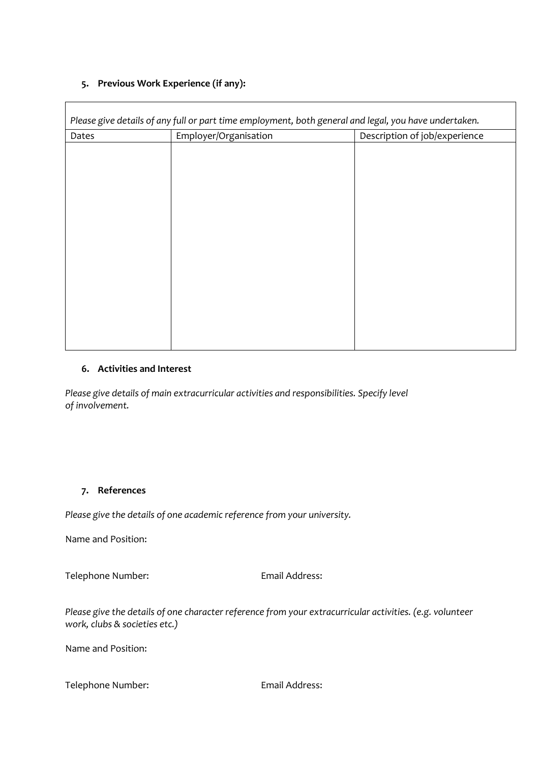## **5. Previous Work Experience (if any):**

 $\mathbf{r}$ 

| Dates | Employer/Organisation | Description of job/experience |
|-------|-----------------------|-------------------------------|
|       |                       |                               |
|       |                       |                               |
|       |                       |                               |
|       |                       |                               |
|       |                       |                               |
|       |                       |                               |
|       |                       |                               |
|       |                       |                               |
|       |                       |                               |
|       |                       |                               |
|       |                       |                               |
|       |                       |                               |
|       |                       |                               |
|       |                       |                               |
|       |                       |                               |

### **6. Activities and Interest**

*Please give details of main extracurricular activities and responsibilities. Specify level of involvement.*

## **7. References**

*Please give the details of one academic reference from your university.*

Name and Position:

Telephone Number: Email Address:

*Please give the details of one character reference from your extracurricular activities. (e.g. volunteer work, clubs & societies etc.)*

Name and Position:

Telephone Number: Email Address: